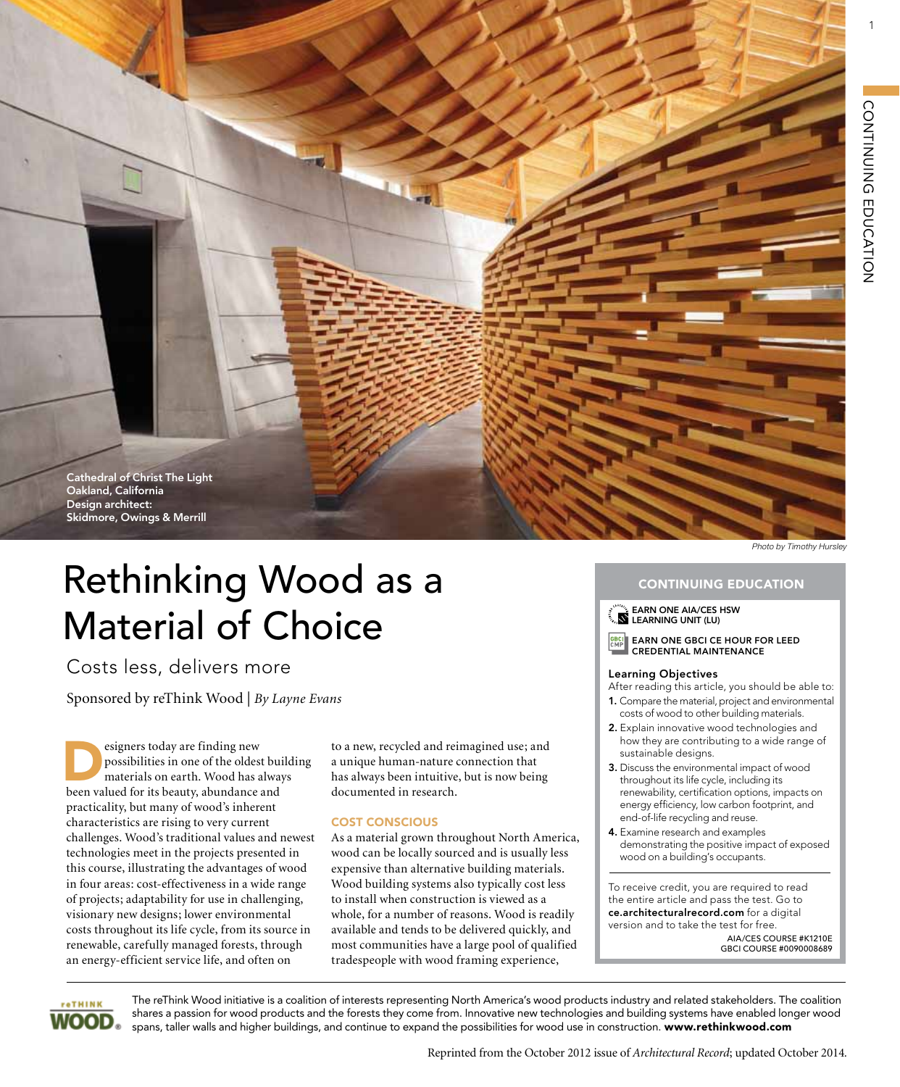1



# Rethinking Wood as a Material of Choice

Costs less, delivers more

Sponsored by reThink Wood | *By Layne Evans*

Experience today are finding new<br>possibilities in one of the oldes<br>materials on earth. Wood has a<br>heap valued for its heavity shundance possibilities in one of the oldest building materials on earth. Wood has always been valued for its beauty, abundance and practicality, but many of wood's inherent characteristics are rising to very current challenges. Wood's traditional values and newest technologies meet in the projects presented in this course, illustrating the advantages of wood in four areas: cost-effectiveness in a wide range of projects; adaptability for use in challenging, visionary new designs; lower environmental costs throughout its life cycle, from its source in renewable, carefully managed forests, through an energy-efficient service life, and often on

to a new, recycled and reimagined use; and a unique human-nature connection that has always been intuitive, but is now being documented in research.

### Cost Conscious

As a material grown throughout North America, wood can be locally sourced and is usually less expensive than alternative building materials. Wood building systems also typically cost less to install when construction is viewed as a whole, for a number of reasons. Wood is readily available and tends to be delivered quickly, and most communities have a large pool of qualified tradespeople with wood framing experience,

# CONTINUING EDUCATION

EARN ONE AIA/CES HSW LEARNING UNIT (LU)

EARN ONE GBCI CE hour for LEED Credential Maintenance

### Learning Objectives

After reading this article, you should be able to:

- 1. Compare the material, project and environmental costs of wood to other building materials.
- 2. Explain innovative wood technologies and how they are contributing to a wide range of sustainable designs.
- 3. Discuss the environmental impact of wood throughout its life cycle, including its renewability, certification options, impacts on energy efficiency, low carbon footprint, and end-of-life recycling and reuse.
- 4. Examine research and examples demonstrating the positive impact of exposed wood on a building's occupants.

To receive credit, you are required to read the entire article and pass the test. Go to ce.architecturalrecord.com for a digital version and to take the test for free. AIA/CES COURSE #K1210E GBCI COURSE #0090008689



The reThink Wood initiative is a coalition of interests representing North America's wood products industry and related stakeholders. The coalition shares a passion for wood products and the forests they come from. Innovative new technologies and building systems have enabled longer wood spans, taller walls and higher buildings, and continue to expand the possibilities for wood use in construction. www.rethinkwood.com

Reprinted from the October 2012 issue of *Architectural Record*; updated October 2014*.*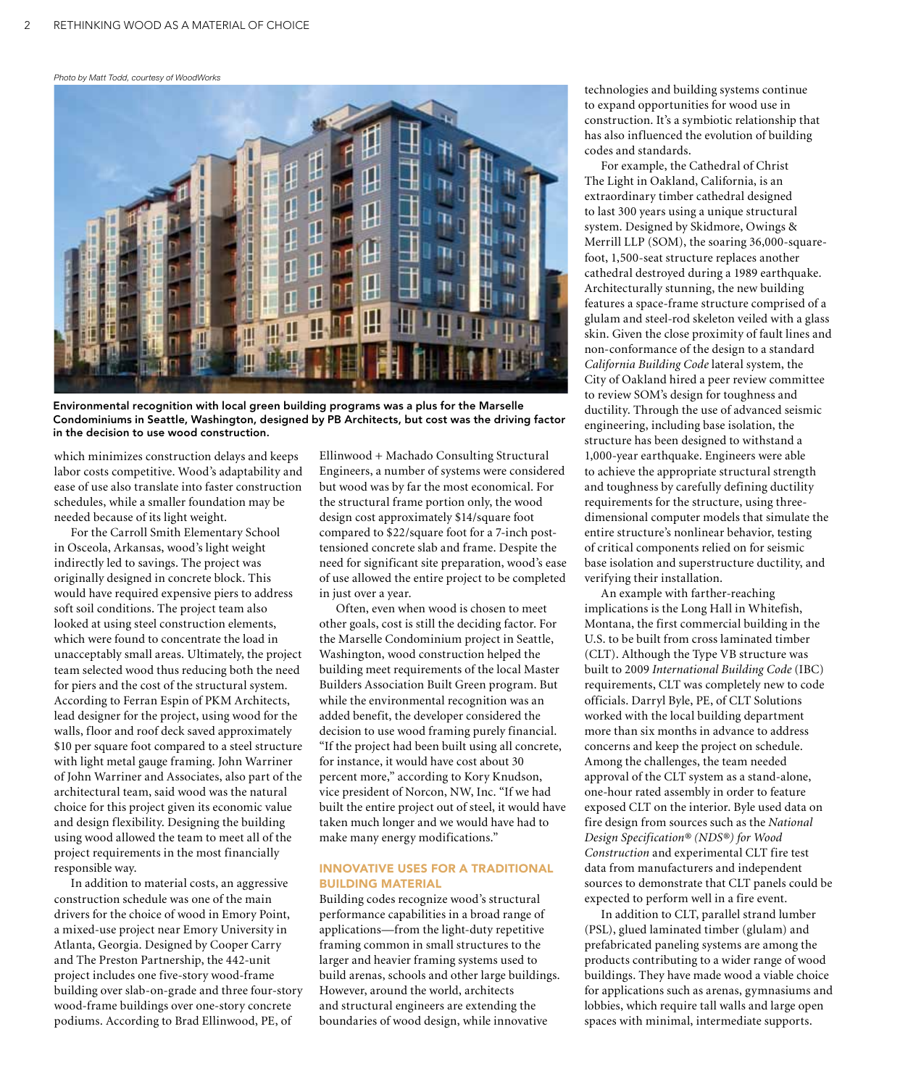### *Photo by Matt Todd, courtesy of WoodWorks*



Environmental recognition with local green building programs was a plus for the Marselle Condominiums in Seattle, Washington, designed by PB Architects, but cost was the driving factor in the decision to use wood construction.

which minimizes construction delays and keeps labor costs competitive. Wood's adaptability and ease of use also translate into faster construction schedules, while a smaller foundation may be needed because of its light weight.

For the Carroll Smith Elementary School in Osceola, Arkansas, wood's light weight indirectly led to savings. The project was originally designed in concrete block. This would have required expensive piers to address soft soil conditions. The project team also looked at using steel construction elements, which were found to concentrate the load in unacceptably small areas. Ultimately, the project team selected wood thus reducing both the need for piers and the cost of the structural system. According to Ferran Espin of PKM Architects, lead designer for the project, using wood for the walls, floor and roof deck saved approximately \$10 per square foot compared to a steel structure with light metal gauge framing. John Warriner of John Warriner and Associates, also part of the architectural team, said wood was the natural choice for this project given its economic value and design flexibility. Designing the building using wood allowed the team to meet all of the project requirements in the most financially responsible way.

In addition to material costs, an aggressive construction schedule was one of the main drivers for the choice of wood in Emory Point, a mixed-use project near Emory University in Atlanta, Georgia. Designed by Cooper Carry and The Preston Partnership, the 442-unit project includes one five-story wood-frame building over slab-on-grade and three four-story wood-frame buildings over one-story concrete podiums. According to Brad Ellinwood, PE, of

Ellinwood + Machado Consulting Structural Engineers, a number of systems were considered but wood was by far the most economical. For the structural frame portion only, the wood design cost approximately \$14/square foot compared to \$22/square foot for a 7-inch posttensioned concrete slab and frame. Despite the need for significant site preparation, wood's ease of use allowed the entire project to be completed in just over a year.

Often, even when wood is chosen to meet other goals, cost is still the deciding factor. For the Marselle Condominium project in Seattle, Washington, wood construction helped the building meet requirements of the local Master Builders Association Built Green program. But while the environmental recognition was an added benefit, the developer considered the decision to use wood framing purely financial. "If the project had been built using all concrete, for instance, it would have cost about 30 percent more," according to Kory Knudson, vice president of Norcon, NW, Inc. "If we had built the entire project out of steel, it would have taken much longer and we would have had to make many energy modifications."

### Innovative Uses for a Traditional Building Material

Building codes recognize wood's structural performance capabilities in a broad range of applications—from the light-duty repetitive framing common in small structures to the larger and heavier framing systems used to build arenas, schools and other large buildings. However, around the world, architects and structural engineers are extending the boundaries of wood design, while innovative

technologies and building systems continue to expand opportunities for wood use in construction. It's a symbiotic relationship that has also influenced the evolution of building codes and standards.

For example, the Cathedral of Christ The Light in Oakland, California, is an extraordinary timber cathedral designed to last 300 years using a unique structural system. Designed by Skidmore, Owings & Merrill LLP (SOM), the soaring 36,000-squarefoot, 1,500-seat structure replaces another cathedral destroyed during a 1989 earthquake. Architecturally stunning, the new building features a space-frame structure comprised of a glulam and steel-rod skeleton veiled with a glass skin. Given the close proximity of fault lines and non-conformance of the design to a standard *California Building Code* lateral system, the City of Oakland hired a peer review committee to review SOM's design for toughness and ductility. Through the use of advanced seismic engineering, including base isolation, the structure has been designed to withstand a 1,000-year earthquake. Engineers were able to achieve the appropriate structural strength and toughness by carefully defining ductility requirements for the structure, using threedimensional computer models that simulate the entire structure's nonlinear behavior, testing of critical components relied on for seismic base isolation and superstructure ductility, and verifying their installation.

An example with farther-reaching implications is the Long Hall in Whitefish, Montana, the first commercial building in the U.S. to be built from cross laminated timber (CLT). Although the Type VB structure was built to 2009 *International Building Code* (IBC) requirements, CLT was completely new to code officials. Darryl Byle, PE, of CLT Solutions worked with the local building department more than six months in advance to address concerns and keep the project on schedule. Among the challenges, the team needed approval of the CLT system as a stand-alone, one-hour rated assembly in order to feature exposed CLT on the interior. Byle used data on fire design from sources such as the *National Design Specification® (NDS®) for Wood Construction* and experimental CLT fire test data from manufacturers and independent sources to demonstrate that CLT panels could be expected to perform well in a fire event.

In addition to CLT, parallel strand lumber (PSL), glued laminated timber (glulam) and prefabricated paneling systems are among the products contributing to a wider range of wood buildings. They have made wood a viable choice for applications such as arenas, gymnasiums and lobbies, which require tall walls and large open spaces with minimal, intermediate supports.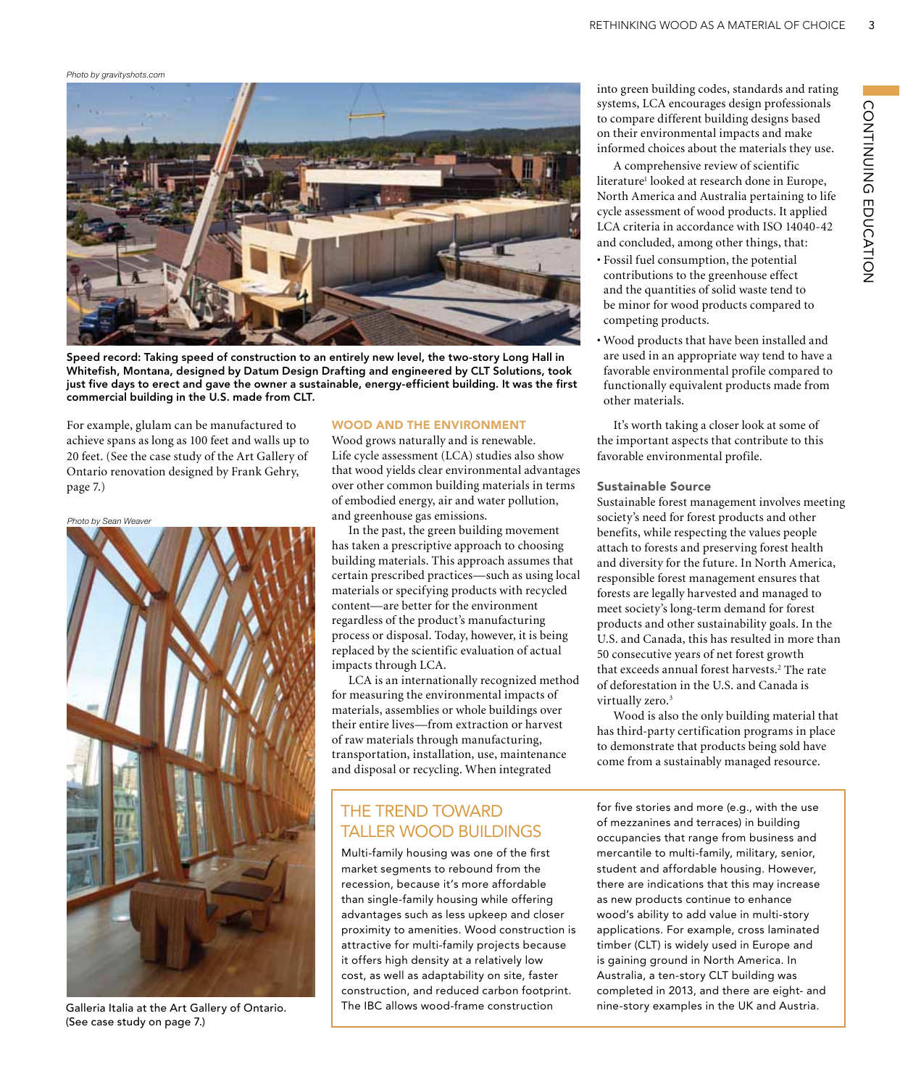*Photo by gravityshots.com*



Speed record: Taking speed of construction to an entirely new level, the two-story Long Hall in Whitefish, Montana, designed by Datum Design Drafting and engineered by CLT Solutions, took just five days to erect and gave the owner a sustainable, energy-efficient building. It was the first commercial building in the U.S. made from CLT.

For example, glulam can be manufactured to achieve spans as long as 100 feet and walls up to 20 feet. (See the case study of the Art Gallery of Ontario renovation designed by Frank Gehry, page 7.)

# Photo by Sean Weaver

Galleria Italia at the Art Gallery of Ontario. (See case study on page 7.)

### Wood and the Environment

Wood grows naturally and is renewable. Life cycle assessment (LCA) studies also show that wood yields clear environmental advantages over other common building materials in terms of embodied energy, air and water pollution, and greenhouse gas emissions.

In the past, the green building movement has taken a prescriptive approach to choosing building materials. This approach assumes that certain prescribed practices—such as using local materials or specifying products with recycled content—are better for the environment regardless of the product's manufacturing process or disposal. Today, however, it is being replaced by the scientific evaluation of actual impacts through LCA.

LCA is an internationally recognized method for measuring the environmental impacts of materials, assemblies or whole buildings over their entire lives—from extraction or harvest of raw materials through manufacturing, transportation, installation, use, maintenance and disposal or recycling. When integrated

# The Trend Toward Taller Wood Buildings

Multi-family housing was one of the first market segments to rebound from the recession, because it's more affordable than single-family housing while offering advantages such as less upkeep and closer proximity to amenities. Wood construction is attractive for multi-family projects because it offers high density at a relatively low cost, as well as adaptability on site, faster construction, and reduced carbon footprint. The IBC allows wood-frame construction

into green building codes, standards and rating systems, LCA encourages design professionals to compare different building designs based on their environmental impacts and make informed choices about the materials they use.

A comprehensive review of scientific literature<sup>1</sup> looked at research done in Europe, North America and Australia pertaining to life cycle assessment of wood products. It applied LCA criteria in accordance with ISO 14040-42 and concluded, among other things, that:

- Fossil fuel consumption, the potential contributions to the greenhouse effect and the quantities of solid waste tend to be minor for wood products compared to competing products.
- Wood products that have been installed and are used in an appropriate way tend to have a favorable environmental profile compared to functionally equivalent products made from other materials.

It's worth taking a closer look at some of the important aspects that contribute to this favorable environmental profile.

### Sustainable Source

Sustainable forest management involves meeting society's need for forest products and other benefits, while respecting the values people attach to forests and preserving forest health and diversity for the future. In North America, responsible forest management ensures that forests are legally harvested and managed to meet society's long-term demand for forest products and other sustainability goals. In the U.S. and Canada, this has resulted in more than 50 consecutive years of net forest growth that exceeds annual forest harvests.<sup>2</sup> The rate of deforestation in the U.S. and Canada is virtually zero.<sup>3</sup>

Wood is also the only building material that has third-party certification programs in place to demonstrate that products being sold have come from a sustainably managed resource.

for five stories and more (e.g., with the use of mezzanines and terraces) in building occupancies that range from business and mercantile to multi-family, military, senior, student and affordable housing. However, there are indications that this may increase as new products continue to enhance wood's ability to add value in multi-story applications. For example, cross laminated timber (CLT) is widely used in Europe and is gaining ground in North America. In Australia, a ten-story CLT building was completed in 2013, and there are eight- and nine-story examples in the UK and Austria.

3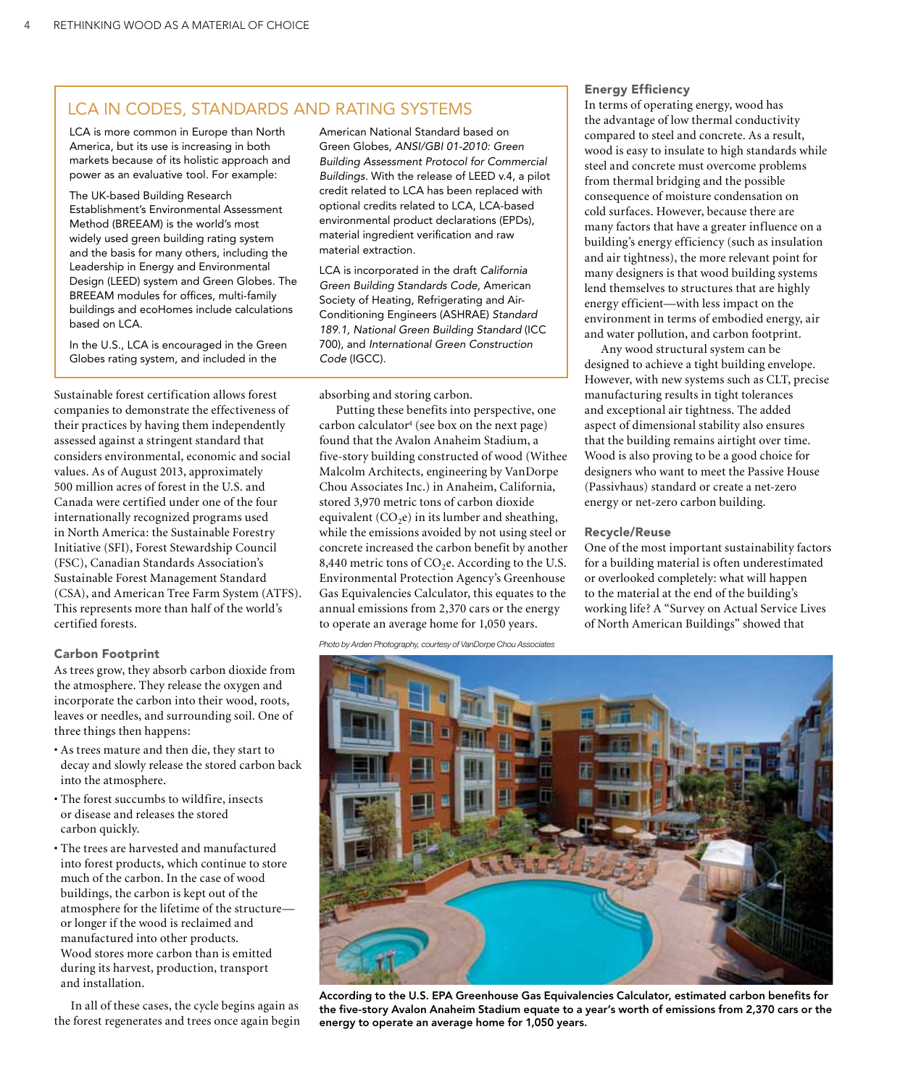# LCA in Codes, Standards and rating systems

LCA is more common in Europe than North America, but its use is increasing in both markets because of its holistic approach and power as an evaluative tool. For example:

The UK-based Building Research Establishment's Environmental Assessment Method (BREEAM) is the world's most widely used green building rating system and the basis for many others, including the Leadership in Energy and Environmental Design (LEED) system and Green Globes. The BREEAM modules for offices, multi-family buildings and ecoHomes include calculations based on LCA.

 In the U.S., LCA is encouraged in the Green Globes rating system, and included in the

Sustainable forest certification allows forest companies to demonstrate the effectiveness of their practices by having them independently assessed against a stringent standard that considers environmental, economic and social values. As of August 2013, approximately 500 million acres of forest in the U.S. and Canada were certified under one of the four internationally recognized programs used in North America: the Sustainable Forestry Initiative (SFI), Forest Stewardship Council (FSC), Canadian Standards Association's Sustainable Forest Management Standard (CSA), and American Tree Farm System (ATFS). This represents more than half of the world's certified forests.

### Carbon Footprint

As trees grow, they absorb carbon dioxide from the atmosphere. They release the oxygen and incorporate the carbon into their wood, roots, leaves or needles, and surrounding soil. One of three things then happens:

- As trees mature and then die, they start to decay and slowly release the stored carbon back into the atmosphere.
- The forest succumbs to wildfire, insects or disease and releases the stored carbon quickly.
- The trees are harvested and manufactured into forest products, which continue to store much of the carbon. In the case of wood buildings, the carbon is kept out of the atmosphere for the lifetime of the structure or longer if the wood is reclaimed and manufactured into other products. Wood stores more carbon than is emitted during its harvest, production, transport and installation.

In all of these cases, the cycle begins again as the forest regenerates and trees once again begin

American National Standard based on Green Globes, *ANSI/GBI 01-2010: Green Building Assessment Protocol for Commercial Buildings.* With the release of LEED v.4, a pilot credit related to LCA has been replaced with optional credits related to LCA, LCA-based environmental product declarations (EPDs), material ingredient verification and raw material extraction.

LCA is incorporated in the draft *California Green Building Standards Code*, American Society of Heating, Refrigerating and Air-Conditioning Engineers (ASHRAE) *Standard 189.1, National Green Building Standard* (ICC 700), and *International Green Construction Code* (IGCC).

absorbing and storing carbon.

Putting these benefits into perspective, one carbon calculator<sup>4</sup> (see box on the next page) found that the Avalon Anaheim Stadium, a five-story building constructed of wood (Withee Malcolm Architects, engineering by VanDorpe Chou Associates Inc.) in Anaheim, California, stored 3,970 metric tons of carbon dioxide equivalent  $(CO<sub>2</sub>e)$  in its lumber and sheathing, while the emissions avoided by not using steel or concrete increased the carbon benefit by another 8,440 metric tons of  $CO<sub>2</sub>e$ . According to the U.S. Environmental Protection Agency's Greenhouse Gas Equivalencies Calculator, this equates to the annual emissions from 2,370 cars or the energy to operate an average home for 1,050 years.

*Photo by Arden Photography, courtesy of VanDorpe Chou Associates*

### Energy Efficiency

In terms of operating energy, wood has the advantage of low thermal conductivity compared to steel and concrete. As a result, wood is easy to insulate to high standards while steel and concrete must overcome problems from thermal bridging and the possible consequence of moisture condensation on cold surfaces. However, because there are many factors that have a greater influence on a building's energy efficiency (such as insulation and air tightness), the more relevant point for many designers is that wood building systems lend themselves to structures that are highly energy efficient—with less impact on the environment in terms of embodied energy, air and water pollution, and carbon footprint.

Any wood structural system can be designed to achieve a tight building envelope. However, with new systems such as CLT, precise manufacturing results in tight tolerances and exceptional air tightness. The added aspect of dimensional stability also ensures that the building remains airtight over time. Wood is also proving to be a good choice for designers who want to meet the Passive House (Passivhaus) standard or create a net-zero energy or net-zero carbon building.

### Recycle/Reuse

One of the most important sustainability factors for a building material is often underestimated or overlooked completely: what will happen to the material at the end of the building's working life? A "Survey on Actual Service Lives of North American Buildings" showed that



According to the U.S. EPA Greenhouse Gas Equivalencies Calculator, estimated carbon benefits for the five-story Avalon Anaheim Stadium equate to a year's worth of emissions from 2,370 cars or the energy to operate an average home for 1,050 years.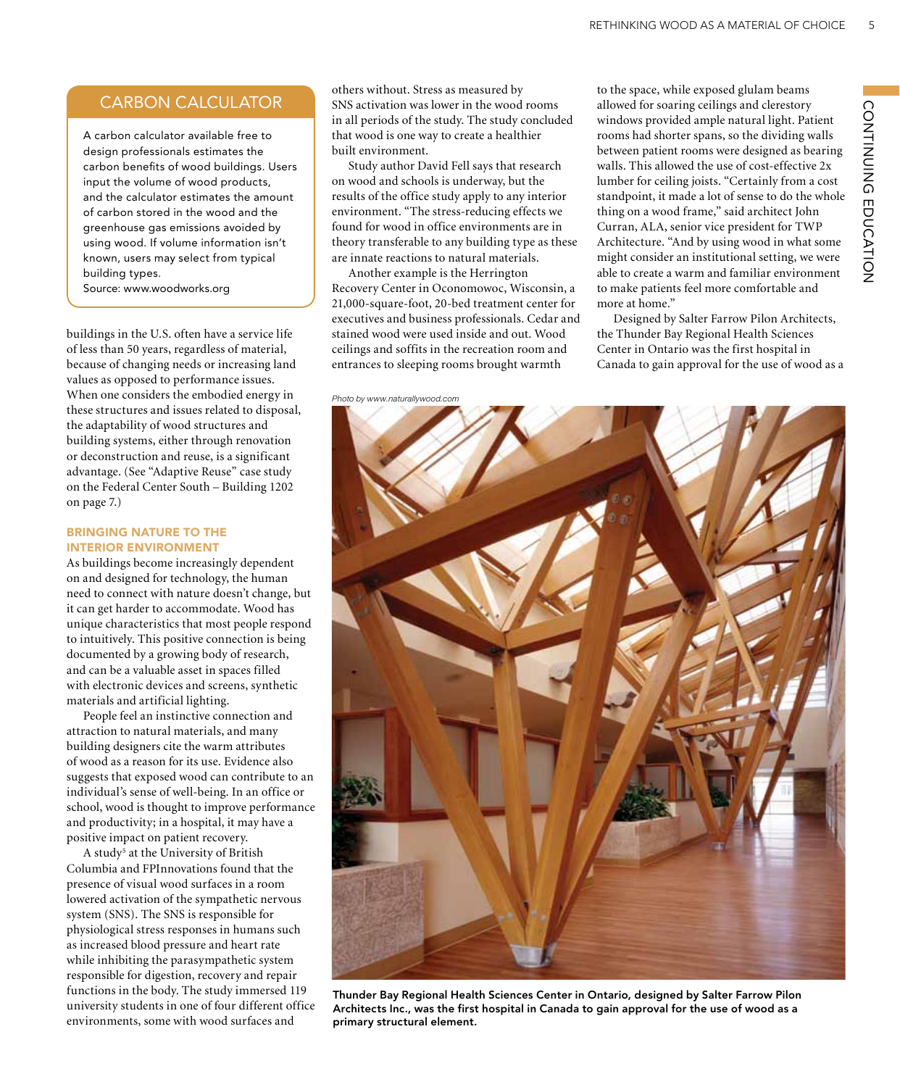# CARBON CALCULATOR

A carbon calculator available free to design professionals estimates the carbon benefits of wood buildings. Users input the volume of wood products, and the calculator estimates the amount of carbon stored in the wood and the greenhouse gas emissions avoided by using wood. If volume information isn't known, users may select from typical building types.

Source: www.woodworks.org

buildings in the U.S. often have a service life of less than 50 years, regardless of material, because of changing needs or increasing land values as opposed to performance issues. When one considers the embodied energy in these structures and issues related to disposal, the adaptability of wood structures and building systems, either through renovation or deconstruction and reuse, is a significant advantage. (See "Adaptive Reuse" case study on the Federal Center South – Building 1202 on page 7.)

### Bringing Nature to the Interior Environment

As buildings become increasingly dependent on and designed for technology, the human need to connect with nature doesn't change, but it can get harder to accommodate. Wood has unique characteristics that most people respond to intuitively. This positive connection is being documented by a growing body of research, and can be a valuable asset in spaces filled with electronic devices and screens, synthetic materials and artificial lighting.

People feel an instinctive connection and attraction to natural materials, and many building designers cite the warm attributes of wood as a reason for its use. Evidence also suggests that exposed wood can contribute to an individual's sense of well-being. In an office or school, wood is thought to improve performance and productivity; in a hospital, it may have a positive impact on patient recovery.

A study<sup>5</sup> at the University of British Columbia and FPInnovations found that the presence of visual wood surfaces in a room lowered activation of the sympathetic nervous system (SNS). The SNS is responsible for physiological stress responses in humans such as increased blood pressure and heart rate while inhibiting the parasympathetic system responsible for digestion, recovery and repair functions in the body. The study immersed 119 university students in one of four different office environments, some with wood surfaces and

others without. Stress as measured by SNS activation was lower in the wood rooms in all periods of the study. The study concluded that wood is one way to create a healthier built environment.

Study author David Fell says that research on wood and schools is underway, but the results of the office study apply to any interior environment. "The stress-reducing effects we found for wood in office environments are in theory transferable to any building type as these are innate reactions to natural materials.

Another example is the Herrington Recovery Center in Oconomowoc, Wisconsin, a 21,000-square-foot, 20-bed treatment center for executives and business professionals. Cedar and stained wood were used inside and out. Wood ceilings and soffits in the recreation room and entrances to sleeping rooms brought warmth

*Photo by www.naturallywood.com*

to the space, while exposed glulam beams allowed for soaring ceilings and clerestory windows provided ample natural light. Patient rooms had shorter spans, so the dividing walls between patient rooms were designed as bearing walls. This allowed the use of cost-effective 2x lumber for ceiling joists. "Certainly from a cost standpoint, it made a lot of sense to do the whole thing on a wood frame," said architect John Curran, ALA, senior vice president for TWP Architecture. "And by using wood in what some might consider an institutional setting, we were able to create a warm and familiar environment to make patients feel more comfortable and more at home."

Designed by Salter Farrow Pilon Architects, the Thunder Bay Regional Health Sciences Center in Ontario was the first hospital in Canada to gain approval for the use of wood as a



Thunder Bay Regional Health Sciences Center in Ontario, designed by Salter Farrow Pilon Architects Inc., was the first hospital in Canada to gain approval for the use of wood as a primary structural element.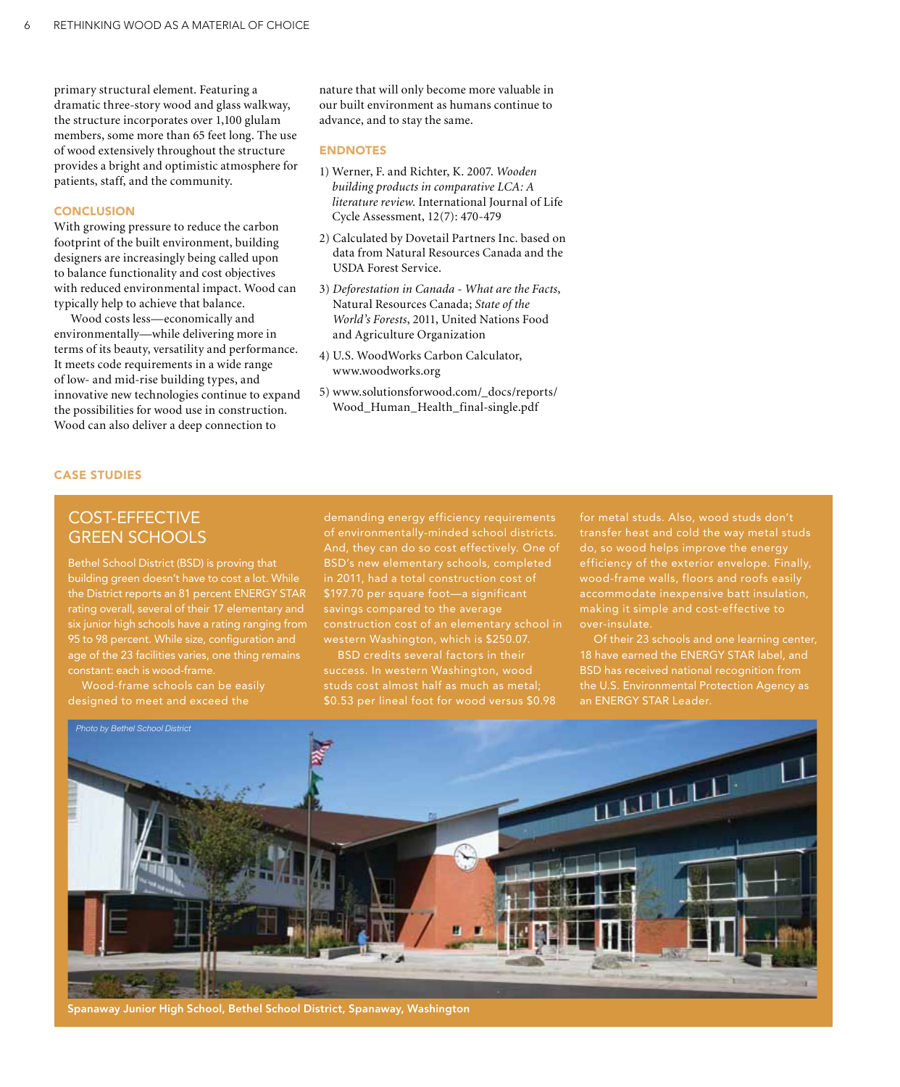primary structural element. Featuring a dramatic three-story wood and glass walkway, the structure incorporates over 1,100 glulam members, some more than 65 feet long. The use of wood extensively throughout the structure provides a bright and optimistic atmosphere for patients, staff, and the community.

### **CONCLUSION**

With growing pressure to reduce the carbon footprint of the built environment, building designers are increasingly being called upon to balance functionality and cost objectives with reduced environmental impact. Wood can typically help to achieve that balance.

Wood costs less—economically and environmentally—while delivering more in terms of its beauty, versatility and performance. It meets code requirements in a wide range of low- and mid-rise building types, and innovative new technologies continue to expand the possibilities for wood use in construction. Wood can also deliver a deep connection to

nature that will only become more valuable in our built environment as humans continue to advance, and to stay the same.

### **ENDNOTES**

- 1) Werner, F. and Richter, K. 2007. *Wooden building products in comparative LCA: A literature review*. International Journal of Life Cycle Assessment, 12(7): 470-479
- 2) Calculated by Dovetail Partners Inc. based on data from Natural Resources Canada and the USDA Forest Service.
- 3) *Deforestation in Canada What are the Facts*, Natural Resources Canada; *State of the World's Forests*, 2011, United Nations Food and Agriculture Organization
- 4) U.S. WoodWorks Carbon Calculator, www.woodworks.org
- 5) www.solutionsforwood.com/\_docs/reports/ Wood\_Human\_Health\_final-single.pdf

### Case Studies

# Cost-effective Green Schools

Bethel School District (BSD) is proving that building green doesn't have to cost a lot. While the District reports an 81 percent ENERGY STAR rating overall, several of their 17 elementary and six junior high schools have a rating ranging from 95 to 98 percent. While size, configuration and age of the 23 facilities varies, one thing remains constant: each is wood-frame.

Wood-frame schools can be easily designed to meet and exceed the

demanding energy efficiency requirements of environmentally-minded school districts. And, they can do so cost effectively. One of BSD's new elementary schools, completed in 2011, had a total construction cost of \$197.70 per square foot—a significant savings compared to the average western Washington, which is \$250.07.

BSD credits several factors in their success. In western Washington, wood studs cost almost half as much as metal; \$0.53 per lineal foot for wood versus \$0.98 for metal studs. Also, wood studs don't transfer heat and cold the way metal studs do, so wood helps improve the energy efficiency of the exterior envelope. Finally, accommodate inexpensive batt insulation, over-insulate.

18 have earned the ENERGY STAR label, and BSD has received national recognition from the U.S. Environmental Protection Agency as an ENERGY STAR Leader.



Spanaway Junior High School, Bethel School District, Spanaway, Washington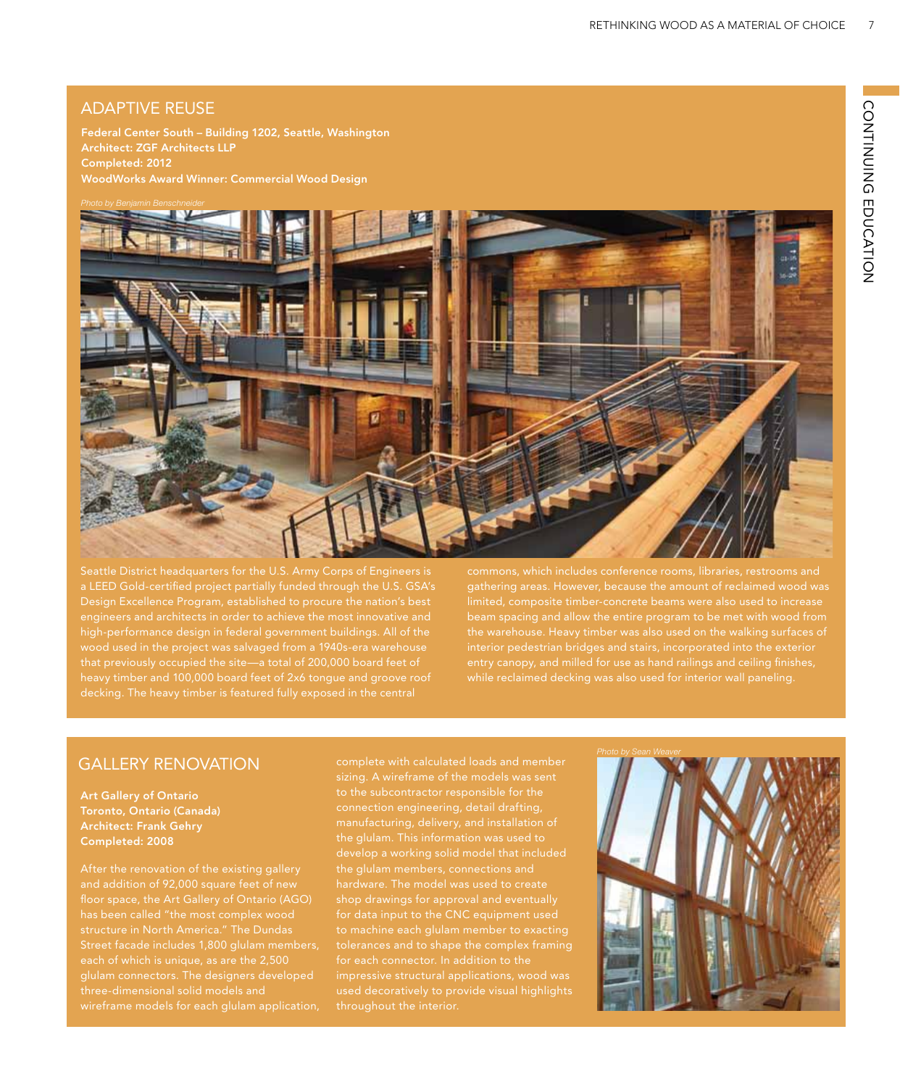# ADAPTIVE REUSE

Federal Center South – Building 1202, Seattle, Washington Architect: ZGF Architects LLP Completed: 2012 WoodWorks Award Winner: Commercial Wood Design



a LEED Gold-certified project partially funded through the U.S. GSA's wood used in the project was salvaged from a 1940s-era warehouse heavy timber and 100,000 board feet of 2x6 tongue and groove roof gathering areas. However, because the amount of reclaimed wood was interior pedestrian bridges and stairs, incorporated into the exterior while reclaimed decking was also used for interior wall paneling.

# Gallery Renovation

Art Gallery of Ontario Toronto, Ontario (Canada) Architect: Frank Gehry Completed: 2008

After the renovation of the existing gallery structure in North America." The Dundas each of which is unique, as are the 2,500 glulam connectors. The designers developed three-dimensional solid models and wireframe models for each glulam application, complete with calculated loads and member sizing. A wireframe of the models was sent to the subcontractor responsible for the the glulam. This information was used to develop a working solid model that included to machine each glulam member to exacting for each connector. In addition to the impressive structural applications, wood was throughout the interior.